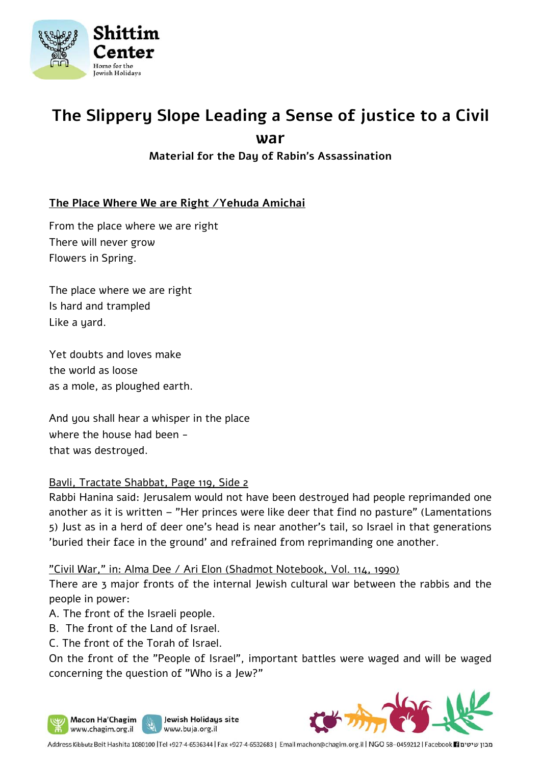

# **The Slippery Slope Leading a Sense of justice to a Civil war**

**Material for the Day of Rabin's Assassination** 

# **The Place Where We are Right /Yehuda Amichai**

From the place where we are right There will never grow Flowers in Spring.

The place where we are right Is hard and trampled Like a yard.

Yet doubts and loves make the world as loose as a mole, as ploughed earth.

And you shall hear a whisper in the place where the house had been that was destroyed.

#### Bavli, Tractate Shabbat, Page 119, Side 2

Rabbi Hanina said: Jerusalem would not have been destroyed had people reprimanded one another as it is written – "Her princes were like deer that find no pasture" (Lamentations 5) Just as in a herd of deer one's head is near another's tail, so Israel in that generations 'buried their face in the ground' and refrained from reprimanding one another.

"Civil War," in: Alma Dee / Ari Elon (Shadmot Notebook, Vol. 114, 1990)

There are 3 major fronts of the internal Jewish cultural war between the rabbis and the people in power:

- A. The front of the Israeli people.
- B. The front of the Land of Israel.
- C. The front of the Torah of Israel.

On the front of the "People of Israel", important battles were waged and will be waged concerning the question of "Who is a Jew?"



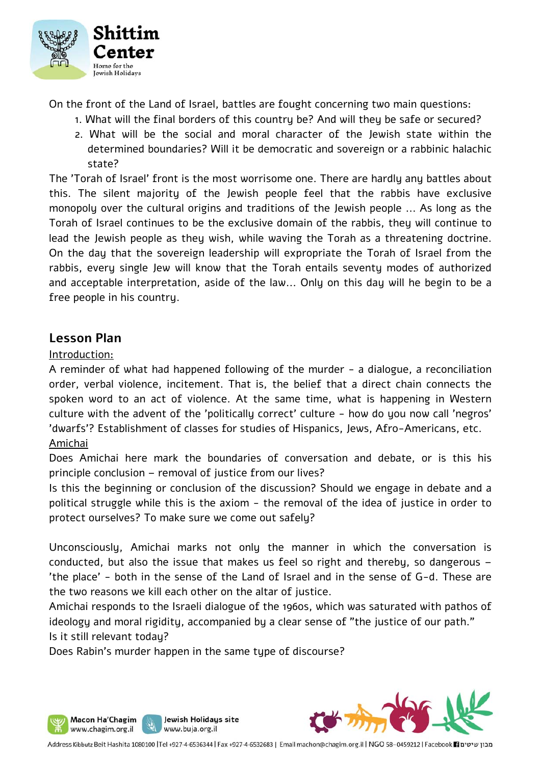

On the front of the Land of Israel, battles are fought concerning two main questions:

- 1. What will the final borders of this country be? And will they be safe or secured?
- 2. What will be the social and moral character of the Jewish state within the determined boundaries? Will it be democratic and sovereign or a rabbinic halachic state?

The 'Torah of Israel' front is the most worrisome one. There are hardly any battles about this. The silent majority of the Jewish people feel that the rabbis have exclusive monopoly over the cultural origins and traditions of the Jewish people ... As long as the Torah of Israel continues to be the exclusive domain of the rabbis, they will continue to lead the Jewish people as they wish, while waving the Torah as a threatening doctrine. On the day that the sovereign leadership will expropriate the Torah of Israel from the rabbis, every single Jew will know that the Torah entails seventy modes of authorized and acceptable interpretation, aside of the law... Only on this day will he begin to be a free people in his country.

# **Lesson Plan**

Macon Ha'Chagim www.chagim.org.il

#### Introduction:

A reminder of what had happened following of the murder - a dialogue, a reconciliation order, verbal violence, incitement. That is, the belief that a direct chain connects the spoken word to an act of violence. At the same time, what is happening in Western culture with the advent of the 'politically correct' culture - how do you now call 'negros' 'dwarfs'? Establishment of classes for studies of Hispanics, Jews, Afro-Americans, etc. Amichai

Does Amichai here mark the boundaries of conversation and debate, or is this his principle conclusion – removal of justice from our lives?

Is this the beginning or conclusion of the discussion? Should we engage in debate and a political struggle while this is the axiom - the removal of the idea of justice in order to protect ourselves? To make sure we come out safely?

Unconsciously, Amichai marks not only the manner in which the conversation is conducted, but also the issue that makes us feel so right and thereby, so dangerous – 'the place' - both in the sense of the Land of Israel and in the sense of G-d. These are the two reasons we kill each other on the altar of justice.

Amichai responds to the Israeli dialogue of the 1960s, which was saturated with pathos of ideology and moral rigidity, accompanied by a clear sense of "the justice of our path." Is it still relevant today?

Does Rabin's murder happen in the same tupe of discourse?

Jewish Holidays site

www.buja.org.il